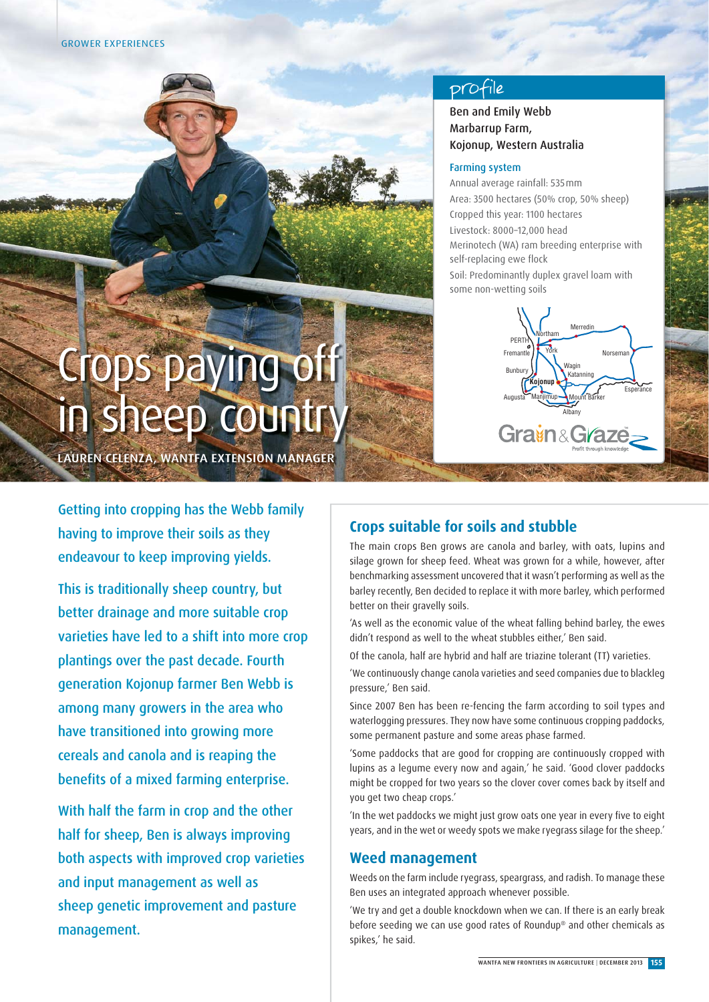GROWER EXPERIENCES

# profile

## Ben and Emily Webb Marbarrup Farm, Kojonup, Western Australia

#### Farming system

Annual average rainfall: 535 mm Area: 3500 hectares (50% crop, 50% sheep) Cropped this year: 1100 hectares Livestock: 8000–12,000 head Merinotech (WA) ram breeding enterprise with self-replacing ewe flock Soil: Predominantly duplex gravel loam with some non-wetting soils



# Crops paying off in sheep country

LAUREN CELENZA, WANTFA EXTENSION MANAGER

Getting into cropping has the Webb family having to improve their soils as they endeavour to keep improving yields.

This is traditionally sheep country, but better drainage and more suitable crop varieties have led to a shift into more crop plantings over the past decade. Fourth generation Kojonup farmer Ben Webb is among many growers in the area who have transitioned into growing more cereals and canola and is reaping the benefits of a mixed farming enterprise.

With half the farm in crop and the other half for sheep, Ben is always improving both aspects with improved crop varieties and input management as well as sheep genetic improvement and pasture management.

# **Crops suitable for soils and stubble**

The main crops Ben grows are canola and barley, with oats, lupins and silage grown for sheep feed. Wheat was grown for a while, however, after benchmarking assessment uncovered that it wasn't performing as well as the barley recently, Ben decided to replace it with more barley, which performed better on their gravelly soils.

'As well as the economic value of the wheat falling behind barley, the ewes didn't respond as well to the wheat stubbles either,' Ben said.

Of the canola, half are hybrid and half are triazine tolerant (TT) varieties.

'We continuously change canola varieties and seed companies due to blackleg pressure,' Ben said.

Since 2007 Ben has been re-fencing the farm according to soil types and waterlogging pressures. They now have some continuous cropping paddocks, some permanent pasture and some areas phase farmed.

'Some paddocks that are good for cropping are continuously cropped with lupins as a legume every now and again,' he said. 'Good clover paddocks might be cropped for two years so the clover cover comes back by itself and you get two cheap crops.'

'In the wet paddocks we might just grow oats one year in every five to eight years, and in the wet or weedy spots we make ryegrass silage for the sheep.'

# **Weed management**

Weeds on the farm include ryegrass, speargrass, and radish. To manage these Ben uses an integrated approach whenever possible.

'We try and get a double knockdown when we can. If there is an early break before seeding we can use good rates of Roundup® and other chemicals as spikes,' he said.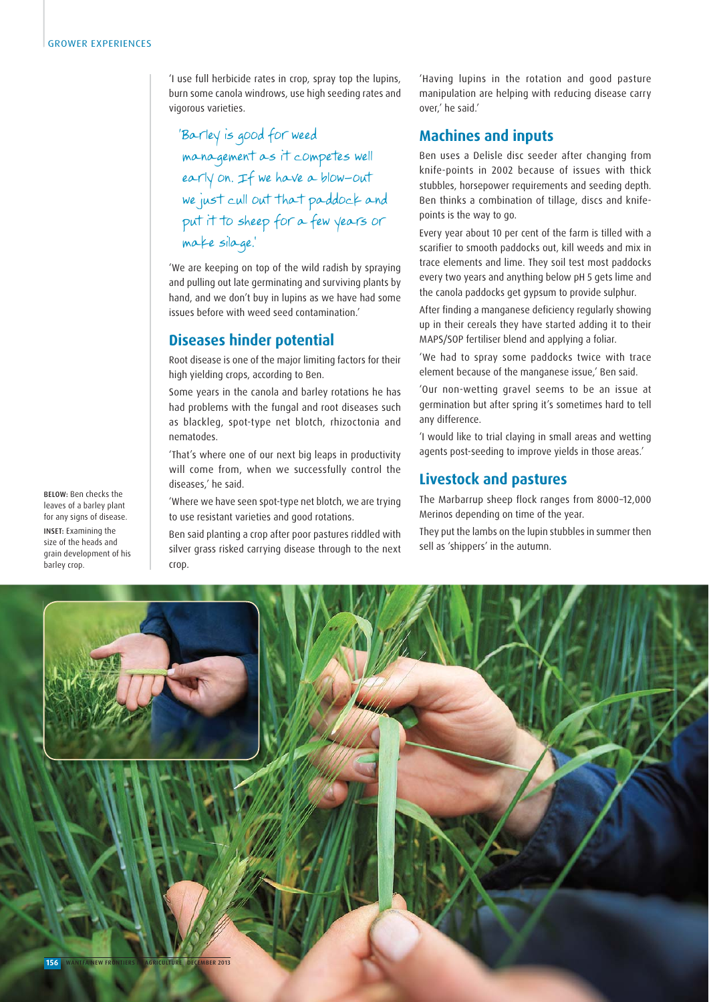'I use full herbicide rates in crop, spray top the lupins, burn some canola windrows, use high seeding rates and vigorous varieties.

'Barley is good for weed management as it competes well early on. If we have a blow-out we just cull out that paddock and put it to sheep for a few years or make silage.'

'We are keeping on top of the wild radish by spraying and pulling out late germinating and surviving plants by hand, and we don't buy in lupins as we have had some issues before with weed seed contamination.'

# **Diseases hinder potential**

Root disease is one of the major limiting factors for their high yielding crops, according to Ben.

Some years in the canola and barley rotations he has had problems with the fungal and root diseases such as blackleg, spot-type net blotch, rhizoctonia and nematodes.

'That's where one of our next big leaps in productivity will come from, when we successfully control the diseases,' he said.

'Where we have seen spot-type net blotch, we are trying to use resistant varieties and good rotations.

Ben said planting a crop after poor pastures riddled with silver grass risked carrying disease through to the next crop.

'Having lupins in the rotation and good pasture manipulation are helping with reducing disease carry over,' he said.'

#### **Machines and inputs**

Ben uses a Delisle disc seeder after changing from knife-points in 2002 because of issues with thick stubbles, horsepower requirements and seeding depth. Ben thinks a combination of tillage, discs and knifepoints is the way to go.

Every year about 10 per cent of the farm is tilled with a scarifier to smooth paddocks out, kill weeds and mix in trace elements and lime. They soil test most paddocks every two years and anything below pH 5 gets lime and the canola paddocks get gypsum to provide sulphur.

After finding a manganese deficiency regularly showing up in their cereals they have started adding it to their MAPS/SOP fertiliser blend and applying a foliar.

'We had to spray some paddocks twice with trace element because of the manganese issue,' Ben said.

'Our non-wetting gravel seems to be an issue at germination but after spring it's sometimes hard to tell any difference.

'I would like to trial claying in small areas and wetting agents post-seeding to improve yields in those areas.'

### **Livestock and pastures**

The Marbarrup sheep flock ranges from 8000-12,000 Merinos depending on time of the year.

They put the lambs on the lupin stubbles in summer then sell as 'shippers' in the autumn.



BELOW: Ben checks the leaves of a barley plant for any signs of disease.

INSET: Examining the size of the heads and grain development of his barley crop.